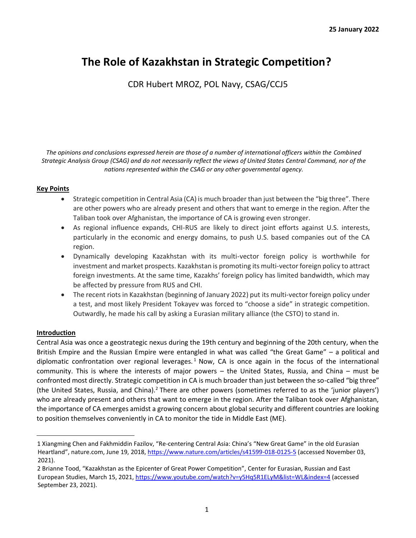# **The Role of Kazakhstan in Strategic Competition?**

CDR Hubert MROZ, POL Navy, CSAG/CCJ5

*The opinions and conclusions expressed herein are those of a number of international officers within the Combined Strategic Analysis Group (CSAG) and do not necessarily reflect the views of United States Central Command, nor of the nations represented within the CSAG or any other governmental agency.*

# **Key Points**

- Strategic competition in Central Asia (CA) is much broader than just between the "big three". There are other powers who are already present and others that want to emerge in the region. After the Taliban took over Afghanistan, the importance of CA is growing even stronger.
- As regional influence expands, CHI-RUS are likely to direct joint efforts against U.S. interests, particularly in the economic and energy domains, to push U.S. based companies out of the CA region.
- Dynamically developing Kazakhstan with its multi-vector foreign policy is worthwhile for investment and market prospects. Kazakhstan is promoting its multi-vector foreign policy to attract foreign investments. At the same time, Kazakhs' foreign policy has limited bandwidth, which may be affected by pressure from RUS and CHI.
- The recent riots in Kazakhstan (beginning of January 2022) put its multi-vector foreign policy under a test, and most likely President Tokayev was forced to "choose a side" in strategic competition. Outwardly, he made his call by asking a Eurasian military alliance (the CSTO) to stand in.

# **Introduction**

Central Asia was once a geostrategic nexus during the 19th century and beginning of the 20th century, when the British Empire and the Russian Empire were entangled in what was called "the Great Game" – a political and diplomatic confrontation over regional leverages.<sup>1</sup> Now, CA is once again in the focus of the international community. This is where the interests of major powers – the United States, Russia, and China – must be confronted most directly. Strategic competition in CA is much broader than just between the so-called "big three" (the United States, Russia, and China).<sup>2</sup> There are other powers (sometimes referred to as the 'junior players') who are already present and others that want to emerge in the region. After the Taliban took over Afghanistan, the importance of CA emerges amidst a growing concern about global security and different countries are looking to position themselves conveniently in CA to monitor the tide in Middle East (ME).

<sup>1</sup> Xiangming Chen and Fakhmiddin Fazilov, "Re-centering Central Asia: China's "New Great Game" in the old Eurasian Heartland", nature.com, June 19, 2018, https://www.nature.com/articles/s41599-018-0125-5 (accessed November 03, 2021).

<sup>2</sup> Brianne Tood, "Kazakhstan as the Epicenter of Great Power Competition", Center for Eurasian, Russian and East European Studies, March 15, 2021, https://www.youtube.com/watch?v=y5Hq5R1ELyM&list=WL&index=4 (accessed September 23, 2021).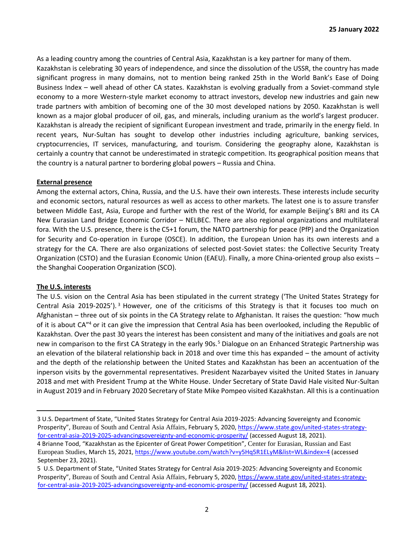As a leading country among the countries of Central Asia, Kazakhstan is a key partner for many of them. Kazakhstan is celebrating 30 years of independence, and since the dissolution of the USSR, the country has made significant progress in many domains, not to mention being ranked 25th in the World Bank's Ease of Doing Business Index – well ahead of other CA states. Kazakhstan is evolving gradually from a Soviet-command style economy to a more Western-style market economy to attract investors, develop new industries and gain new trade partners with ambition of becoming one of the 30 most developed nations by 2050. Kazakhstan is well known as a major global producer of oil, gas, and minerals, including uranium as the world's largest producer. Kazakhstan is already the recipient of significant European investment and trade, primarily in the energy field. In recent years, Nur-Sultan has sought to develop other industries including agriculture, banking services, cryptocurrencies, IT services, manufacturing, and tourism. Considering the geography alone, Kazakhstan is certainly a country that cannot be underestimated in strategic competition. Its geographical position means that the country is a natural partner to bordering global powers – Russia and China.

#### **External presence**

Among the external actors, China, Russia, and the U.S. have their own interests. These interests include security and economic sectors, natural resources as well as access to other markets. The latest one is to assure transfer between Middle East, Asia, Europe and further with the rest of the World, for example Beijing's BRI and its CA New Eurasian Land Bridge Economic Corridor – NELBEC. There are also regional organizations and multilateral fora. With the U.S. presence, there is the C5+1 forum, the NATO partnership for peace (PfP) and the Organization for Security and Co-operation in Europe (OSCE). In addition, the European Union has its own interests and a strategy for the CA. There are also organizations of selected post-Soviet states: the Collective Security Treaty Organization (CSTO) and the Eurasian Economic Union (EAEU). Finally, a more China-oriented group also exists – the Shanghai Cooperation Organization (SCO).

# **The U.S. interests**

The U.S. vision on the Central Asia has been stipulated in the current strategy ('The United States Strategy for Central Asia 2019-2025'). <sup>3</sup> However, one of the criticisms of this Strategy is that it focuses too much on Afghanistan – three out of six points in the CA Strategy relate to Afghanistan. It raises the question: "how much of it is about CA"<sup>4</sup> or it can give the impression that Central Asia has been overlooked, including the Republic of Kazakhstan. Over the past 30 years the interest has been consistent and many of the initiatives and goals are not new in comparison to the first CA Strategy in the early 90s.<sup>5</sup> Dialogue on an Enhanced Strategic Partnership was an elevation of the bilateral relationship back in 2018 and over time this has expanded – the amount of activity and the depth of the relationship between the United States and Kazakhstan has been an accentuation of the inperson visits by the governmental representatives. President Nazarbayev visited the United States in January 2018 and met with President Trump at the White House. Under Secretary of State David Hale visited Nur-Sultan in August 2019 and in February 2020 Secretary of State Mike Pompeo visited Kazakhstan. All this is a continuation

<sup>3</sup> U.S. Department of State, "United States Strategy for Central Asia 2019-2025: Advancing Sovereignty and Economic Prosperity", Bureau of South and Central Asia Affairs, February 5, 2020, https://www.state.gov/united-states-strategyfor-central-asia-2019-2025-advancingsovereignty-and-economic-prosperity/ (accessed August 18, 2021).

<sup>4</sup> Brianne Tood, "Kazakhstan as the Epicenter of Great Power Competition", Center for Eurasian, Russian and East European Studies, March 15, 2021, https://www.youtube.com/watch?v=y5Hq5R1ELyM&list=WL&index=4 (accessed September 23, 2021).

<sup>5</sup> U.S. Department of State, "United States Strategy for Central Asia 2019-2025: Advancing Sovereignty and Economic Prosperity", Bureau of South and Central Asia Affairs, February 5, 2020, https://www.state.gov/united-states-strategyfor-central-asia-2019-2025-advancingsovereignty-and-economic-prosperity/ (accessed August 18, 2021).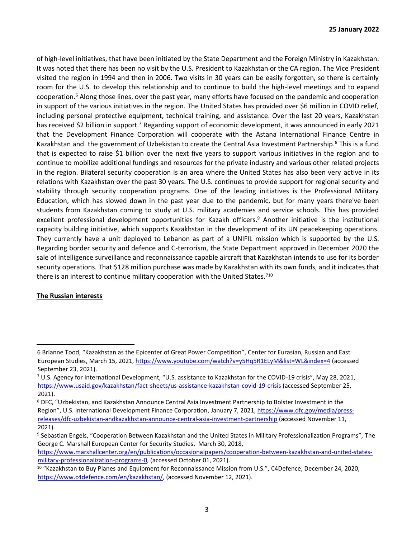of high-level initiatives, that have been initiated by the State Department and the Foreign Ministry in Kazakhstan. It was noted that there has been no visit by the U.S. President to Kazakhstan or the CA region. The Vice President visited the region in 1994 and then in 2006. Two visits in 30 years can be easily forgotten, so there is certainly room for the U.S. to develop this relationship and to continue to build the high-level meetings and to expand cooperation.<sup>6</sup> Along those lines, over the past year, many efforts have focused on the pandemic and cooperation in support of the various initiatives in the region. The United States has provided over \$6 million in COVID relief, including personal protective equipment, technical training, and assistance. Over the last 20 years, Kazakhstan has received \$2 billion in support.<sup>7</sup> Regarding support of economic development, it was announced in early 2021 that the Development Finance Corporation will cooperate with the Astana International Finance Centre in Kazakhstan and the government of Uzbekistan to create the Central Asia Investment Partnership.<sup>8</sup> This is a fund that is expected to raise \$1 billion over the next five years to support various initiatives in the region and to continue to mobilize additional fundings and resources for the private industry and various other related projects in the region. Bilateral security cooperation is an area where the United States has also been very active in its relations with Kazakhstan over the past 30 years. The U.S. continues to provide support for regional security and stability through security cooperation programs. One of the leading initiatives is the Professional Military Education, which has slowed down in the past year due to the pandemic, but for many years there've been students from Kazakhstan coming to study at U.S. military academies and service schools. This has provided excellent professional development opportunities for Kazakh officers.<sup>9</sup> Another initiative is the institutional capacity building initiative, which supports Kazakhstan in the development of its UN peacekeeping operations. They currently have a unit deployed to Lebanon as part of a UNIFIL mission which is supported by the U.S. Regarding border security and defence and C-terrorism, the State Department approved in December 2020 the sale of intelligence surveillance and reconnaissance capable aircraft that Kazakhstan intends to use for its border security operations. That \$128 million purchase was made by Kazakhstan with its own funds, and it indicates that there is an interest to continue military cooperation with the United States.<sup>710</sup>

# **The Russian interests**

https://www.marshallcenter.org/en/publications/occasionalpapers/cooperation-between-kazakhstan-and-united-statesmilitary-professionalization-programs-0, (accessed October 01, 2021).

<sup>6</sup> Brianne Tood, "Kazakhstan as the Epicenter of Great Power Competition", Center for Eurasian, Russian and East European Studies, March 15, 2021, https://www.youtube.com/watch?v=y5Hq5R1ELyM&list=WL&index=4 (accessed September 23, 2021).

<sup>7</sup> U.S. Agency for International Development, "U.S. assistance to Kazakhstan for the COVID-19 crisis", May 28, 2021, https://www.usaid.gov/kazakhstan/fact-sheets/us-assistance-kazakhstan-covid-19-crisis (accessed September 25, 2021).

<sup>8</sup> DFC, "Uzbekistan, and Kazakhstan Announce Central Asia Investment Partnership to Bolster Investment in the Region", U.S. International Development Finance Corporation, January 7, 2021, https://www.dfc.gov/media/pressreleases/dfc-uzbekistan-andkazakhstan-announce-central-asia-investment-partnership (accessed November 11, 2021).

<sup>9</sup> Sebastian Engels, "Cooperation Between Kazakhstan and the United States in Military Professionalization Programs", The George C. Marshall European Center for Security Studies, March 30, 2018,

<sup>&</sup>lt;sup>10</sup> "Kazakhstan to Buy Planes and Equipment for Reconnaissance Mission from U.S.", C4Defence, December 24, 2020, https://www.c4defence.com/en/kazakhstan/, (accessed November 12, 2021).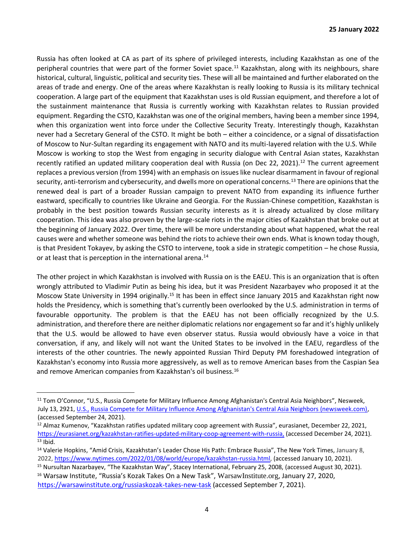Russia has often looked at CA as part of its sphere of privileged interests, including Kazakhstan as one of the peripheral countries that were part of the former Soviet space.<sup>11</sup> Kazakhstan, along with its neighbours, share historical, cultural, linguistic, political and security ties. These will all be maintained and further elaborated on the areas of trade and energy. One of the areas where Kazakhstan is really looking to Russia is its military technical cooperation. A large part of the equipment that Kazakhstan uses is old Russian equipment, and therefore a lot of the sustainment maintenance that Russia is currently working with Kazakhstan relates to Russian provided equipment. Regarding the CSTO, Kazakhstan was one of the original members, having been a member since 1994, when this organization went into force under the Collective Security Treaty. Interestingly though, Kazakhstan never had a Secretary General of the CSTO. It might be both – either a coincidence, or a signal of dissatisfaction of Moscow to Nur-Sultan regarding its engagement with NATO and its multi-layered relation with the U.S. While Moscow is working to stop the West from engaging in security dialogue with Central Asian states, Kazakhstan recently ratified an updated military cooperation deal with Russia (on Dec 22, 2021).<sup>12</sup> The current agreement replaces a previous version (from 1994) with an emphasis on issues like nuclear disarmament in favour of regional security, anti-terrorism and cybersecurity, and dwells more on operational concerns.<sup>13</sup> There are opinions that the renewed deal is part of a broader Russian campaign to prevent NATO from expanding its influence further eastward, specifically to countries like Ukraine and Georgia. For the Russian-Chinese competition, Kazakhstan is probably in the best position towards Russian security interests as it is already actualized by close military cooperation. This idea was also proven by the large-scale riots in the major cities of Kazakhstan that broke out at the beginning of January 2022. Over time, there will be more understanding about what happened, what the real causes were and whether someone was behind the riots to achieve their own ends. What is known today though, is that President Tokayev, by asking the CSTO to intervene, took a side in strategic competition – he chose Russia, or at least that is perception in the international arena.<sup>14</sup>

The other project in which Kazakhstan is involved with Russia on is the EAEU. This is an organization that is often wrongly attributed to Vladimir Putin as being his idea, but it was President Nazarbayev who proposed it at the Moscow State University in 1994 originally.<sup>15</sup> It has been in effect since January 2015 and Kazakhstan right now holds the Presidency, which is something that's currently been overlooked by the U.S. administration in terms of favourable opportunity. The problem is that the EAEU has not been officially recognized by the U.S. administration, and therefore there are neither diplomatic relations nor engagement so far and it's highly unlikely that the U.S. would be allowed to have even observer status. Russia would obviously have a voice in that conversation, if any, and likely will not want the United States to be involved in the EAEU, regardless of the interests of the other countries. The newly appointed Russian Third Deputy PM foreshadowed integration of Kazakhstan's economy into Russia more aggressively, as well as to remove American bases from the Caspian Sea and remove American companies from Kazakhstan's oil business.<sup>16</sup>

<sup>15</sup> Nursultan Nazarbayev, "The Kazakhstan Way", Stacey International, February 25, 2008, (accessed August 30, 2021).

<sup>&</sup>lt;sup>11</sup> Tom O'Connor, "U.S., Russia Compete for Military Influence Among Afghanistan's Central Asia Neighbors", Nesweek, July 13, 2921, U.S., Russia Compete for Military Influence Among Afghanistan's Central Asia Neighbors (newsweek.com), (accessed September 24, 2021).

<sup>&</sup>lt;sup>12</sup> Almaz Kumenov, "Kazakhstan ratifies updated military coop agreement with Russia", eurasianet, December 22, 2021, https://eurasianet.org/kazakhstan-ratifies-updated-military-coop-agreement-with-russia, (accessed December 24, 2021).  $13$  Ibid.

<sup>&</sup>lt;sup>14</sup> Valerie Hopkins, "Amid Crisis, Kazakhstan's Leader Chose His Path: Embrace Russia", The New York Times, January 8, 2022, https://www.nytimes.com/2022/01/08/world/europe/kazakhstan-russia.html, (accessed January 10, 2021).

<sup>&</sup>lt;sup>16</sup> Warsaw Institute, "Russia's Kozak Takes On a New Task", WarsawInstitute.org, January 27, 2020, https://warsawinstitute.org/russiaskozak-takes-new-task (accessed September 7, 2021).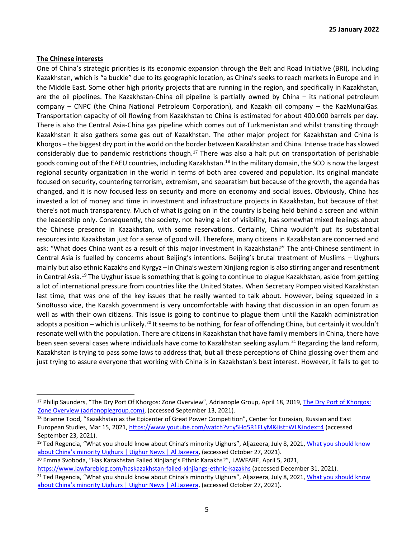#### **The Chinese interests**

One of China's strategic priorities is its economic expansion through the Belt and Road Initiative (BRI), including Kazakhstan, which is "a buckle" due to its geographic location, as China's seeks to reach markets in Europe and in the Middle East. Some other high priority projects that are running in the region, and specifically in Kazakhstan, are the oil pipelines. The Kazakhstan-China oil pipeline is partially owned by China – its national petroleum company – CNPC (the China National Petroleum Corporation), and Kazakh oil company – the KazMunaiGas. Transportation capacity of oil flowing from Kazakhstan to China is estimated for about 400.000 barrels per day. There is also the Central Asia-China gas pipeline which comes out of Turkmenistan and whilst transiting through Kazakhstan it also gathers some gas out of Kazakhstan. The other major project for Kazakhstan and China is Khorgos – the biggest dry port in the world on the border between Kazakhstan and China. Intense trade has slowed considerably due to pandemic restrictions though.<sup>17</sup> There was also a halt put on transportation of perishable goods coming out of the EAEU countries, including Kazakhstan.<sup>18</sup> In the military domain, the SCO is now the largest regional security organization in the world in terms of both area covered and population. Its original mandate focused on security, countering terrorism, extremism, and separatism but because of the growth, the agenda has changed, and it is now focused less on security and more on economy and social issues. Obviously, China has invested a lot of money and time in investment and infrastructure projects in Kazakhstan, but because of that there's not much transparency. Much of what is going on in the country is being held behind a screen and within the leadership only. Consequently, the society, not having a lot of visibility, has somewhat mixed feelings about the Chinese presence in Kazakhstan, with some reservations. Certainly, China wouldn't put its substantial resources into Kazakhstan just for a sense of good will. Therefore, many citizens in Kazakhstan are concerned and ask: "What does China want as a result of this major investment in Kazakhstan?" The anti-Chinese sentiment in Central Asia is fuelled by concerns about Beijing's intentions. Beijing's brutal treatment of Muslims – Uyghurs mainly but also ethnic Kazakhs and Kyrgyz – in China's western Xinjiang region is also stirring anger and resentment in Central Asia.<sup>19</sup> The Uyghur issue is something that is going to continue to plague Kazakhstan, aside from getting a lot of international pressure from countries like the United States. When Secretary Pompeo visited Kazakhstan last time, that was one of the key issues that he really wanted to talk about. However, being squeezed in a SinoRusso vice, the Kazakh government is very uncomfortable with having that discussion in an open forum as well as with their own citizens. This issue is going to continue to plague them until the Kazakh administration adopts a position – which is unlikely.<sup>20</sup> It seems to be nothing, for fear of offending China, but certainly it wouldn't resonate well with the population. There are citizens in Kazakhstan that have family members in China, there have been seen several cases where individuals have come to Kazakhstan seeking asylum.<sup>21</sup> Regarding the land reform, Kazakhstan is trying to pass some laws to address that, but all these perceptions of China glossing over them and just trying to assure everyone that working with China is in Kazakhstan's best interest. However, it fails to get to

<sup>20</sup> Emma Svoboda, "Has Kazakhstan Failed Xinjiang's Ethnic Kazakhs?", LAWFARE, April 5, 2021,

<sup>&</sup>lt;sup>17</sup> Philip Saunders, "The Dry Port Of Khorgos: Zone Overview", Adrianople Group, April 18, 2019, The Dry Port of Khorgos: Zone Overview (adrianoplegroup.com), (accessed September 13, 2021).

<sup>&</sup>lt;sup>18</sup> Brianne Tood, "Kazakhstan as the Epicenter of Great Power Competition", Center for Eurasian, Russian and East European Studies, Mar 15, 2021, https://www.youtube.com/watch?v=y5Hq5R1ELyM&list=WL&index=4 (accessed September 23, 2021).

<sup>&</sup>lt;sup>19</sup> Ted Regencia, "What you should know about China's minority Uighurs", Aljazeera, July 8, 2021, What you should know about China's minority Uighurs | Uighur News | Al Jazeera, (accessed October 27, 2021).

https://www.lawfareblog.com/haskazakhstan-failed-xinjiangs-ethnic-kazakhs (accessed December 31, 2021).

<sup>&</sup>lt;sup>21</sup> Ted Regencia, "What you should know about China's minority Uighurs", Aljazeera, July 8, 2021, What you should know about China's minority Uighurs | Uighur News | Al Jazeera, (accessed October 27, 2021).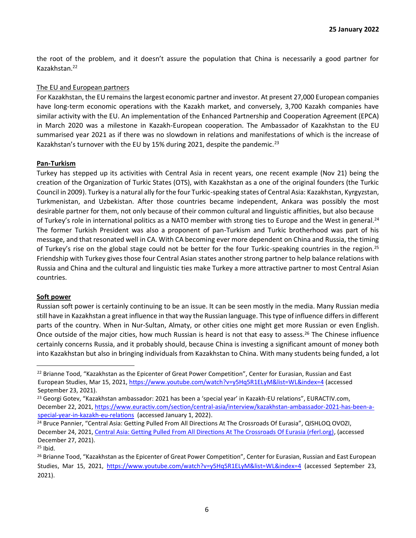the root of the problem, and it doesn't assure the population that China is necessarily a good partner for Kazakhstan.<sup>22</sup>

#### The EU and European partners

For Kazakhstan, the EU remains the largest economic partner and investor. At present 27,000 European companies have long-term economic operations with the Kazakh market, and conversely, 3,700 Kazakh companies have similar activity with the EU. An implementation of the Enhanced Partnership and Cooperation Agreement (EPCA) in March 2020 was a milestone in Kazakh-European cooperation. The Ambassador of Kazakhstan to the EU summarised year 2021 as if there was no slowdown in relations and manifestations of which is the increase of Kazakhstan's turnover with the EU by 15% during 2021, despite the pandemic.<sup>23</sup>

#### **Pan-Turkism**

Turkey has stepped up its activities with Central Asia in recent years, one recent example (Nov 21) being the creation of the Organization of Turkic States (OTS), with Kazakhstan as a one of the original founders (the Turkic Council in 2009). Turkey is a natural ally for the four Turkic-speaking states of Central Asia: Kazakhstan, Kyrgyzstan, Turkmenistan, and Uzbekistan. After those countries became independent, Ankara was possibly the most desirable partner for them, not only because of their common cultural and linguistic affinities, but also because of Turkey's role in international politics as a NATO member with strong ties to Europe and the West in general.<sup>24</sup> The former Turkish President was also a proponent of pan-Turkism and Turkic brotherhood was part of his message, and that resonated well in CA. With CA becoming ever more dependent on China and Russia, the timing of Turkey's rise on the global stage could not be better for the four Turkic-speaking countries in the region.<sup>25</sup> Friendship with Turkey gives those four Central Asian states another strong partner to help balance relations with Russia and China and the cultural and linguistic ties make Turkey a more attractive partner to most Central Asian countries.

# **Soft power**

Russian soft power is certainly continuing to be an issue. It can be seen mostly in the media. Many Russian media still have in Kazakhstan a great influence in that way the Russian language. This type of influence differs in different parts of the country. When in Nur-Sultan, Almaty, or other cities one might get more Russian or even English. Once outside of the major cities, how much Russian is heard is not that easy to assess.<sup>26</sup> The Chinese influence certainly concerns Russia, and it probably should, because China is investing a significant amount of money both into Kazakhstan but also in bringing individuals from Kazakhstan to China. With many students being funded, a lot

<sup>&</sup>lt;sup>22</sup> Brianne Tood, "Kazakhstan as the Epicenter of Great Power Competition", Center for Eurasian, Russian and East European Studies, Mar 15, 2021, https://www.youtube.com/watch?v=y5Hq5R1ELyM&list=WL&index=4 (accessed September 23, 2021).

<sup>&</sup>lt;sup>23</sup> Georgi Gotev, "Kazakhstan ambassador: 2021 has been a 'special year' in Kazakh-EU relations", EURACTIV.com, December 22, 2021, https://www.euractiv.com/section/central-asia/interview/kazakhstan-ambassador-2021-has-been-aspecial-year-in-kazakh-eu-relations (accessed January 1, 2022).

<sup>&</sup>lt;sup>24</sup> Bruce Pannier, "Central Asia: Getting Pulled From All Directions At The Crossroads Of Eurasia", QISHLOQ OVOZI, December 24, 2021, Central Asia: Getting Pulled From All Directions At The Crossroads Of Eurasia (rferl.org), (accessed December 27, 2021).

 $25$  Ibid.

<sup>&</sup>lt;sup>26</sup> Brianne Tood, "Kazakhstan as the Epicenter of Great Power Competition", Center for Eurasian, Russian and East European Studies, Mar 15, 2021, https://www.youtube.com/watch?v=y5Hq5R1ELyM&list=WL&index=4 (accessed September 23, 2021).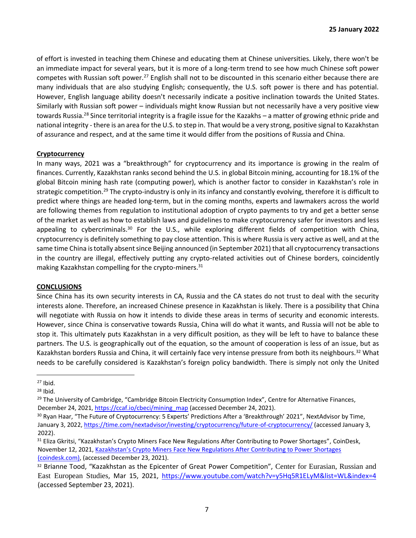of effort is invested in teaching them Chinese and educating them at Chinese universities. Likely, there won't be an immediate impact for several years, but it is more of a long-term trend to see how much Chinese soft power competes with Russian soft power.<sup>27</sup> English shall not to be discounted in this scenario either because there are many individuals that are also studying English; consequently, the U.S. soft power is there and has potential. However, English language ability doesn't necessarily indicate a positive inclination towards the United States. Similarly with Russian soft power – individuals might know Russian but not necessarily have a very positive view towards Russia.<sup>28</sup> Since territorial integrity is a fragile issue for the Kazakhs – a matter of growing ethnic pride and national integrity - there is an area for the U.S. to step in. That would be a very strong, positive signal to Kazakhstan of assurance and respect, and at the same time it would differ from the positions of Russia and China.

# **Cryptocurrency**

In many ways, 2021 was a "breakthrough" for cryptocurrency and its importance is growing in the realm of finances. Currently, Kazakhstan ranks second behind the U.S. in global Bitcoin mining, accounting for 18.1% of the global Bitcoin mining hash rate (computing power), which is another factor to consider in Kazakhstan's role in strategic competition.<sup>29</sup> The crypto-industry is only in its infancy and constantly evolving, therefore it is difficult to predict where things are headed long-term, but in the coming months, experts and lawmakers across the world are following themes from regulation to institutional adoption of crypto payments to try and get a better sense of the market as well as how to establish laws and guidelines to make cryptocurrency safer for investors and less appealing to cybercriminals.<sup>30</sup> For the U.S., while exploring different fields of competition with China, cryptocurrency is definitely something to pay close attention. This is where Russia is very active as well, and at the same time China is totally absent since Beijing announced (in September 2021) that all cryptocurrency transactions in the country are illegal, effectively putting any crypto-related activities out of Chinese borders, coincidently making Kazakhstan compelling for the crypto-miners.<sup>31</sup>

# **CONCLUSIONS**

Since China has its own security interests in CA, Russia and the CA states do not trust to deal with the security interests alone. Therefore, an increased Chinese presence in Kazakhstan is likely. There is a possibility that China will negotiate with Russia on how it intends to divide these areas in terms of security and economic interests. However, since China is conservative towards Russia, China will do what it wants, and Russia will not be able to stop it. This ultimately puts Kazakhstan in a very difficult position, as they will be left to have to balance these partners. The U.S. is geographically out of the equation, so the amount of cooperation is less of an issue, but as Kazakhstan borders Russia and China, it will certainly face very intense pressure from both its neighbours.<sup>32</sup> What needs to be carefully considered is Kazakhstan's foreign policy bandwidth. There is simply not only the United

 $27$  Ibid.

<sup>28</sup> Ibid.

 $29$  The University of Cambridge, "Cambridge Bitcoin Electricity Consumption Index", Centre for Alternative Finances, December 24, 2021, https://ccaf.io/cbeci/mining\_map (accessed December 24, 2021).

<sup>&</sup>lt;sup>30</sup> Ryan Haar, "The Future of Cryptocurrency: 5 Experts' Predictions After a 'Breakthrough' 2021", NextAdvisor by Time, January 3, 2022, https://time.com/nextadvisor/investing/cryptocurrency/future-of-cryptocurrency/ (accessed January 3, 2022).

<sup>&</sup>lt;sup>31</sup> Eliza Gkritsi, "Kazakhstan's Crypto Miners Face New Regulations After Contributing to Power Shortages", CoinDesk, November 12, 2021, Kazakhstan's Crypto Miners Face New Regulations After Contributing to Power Shortages (coindesk.com), (accessed December 23, 2021).

<sup>32</sup> Brianne Tood, "Kazakhstan as the Epicenter of Great Power Competition", Center for Eurasian, Russian and East European Studies, Mar 15, 2021, https://www.youtube.com/watch?v=y5Hq5R1ELyM&list=WL&index=4 (accessed September 23, 2021).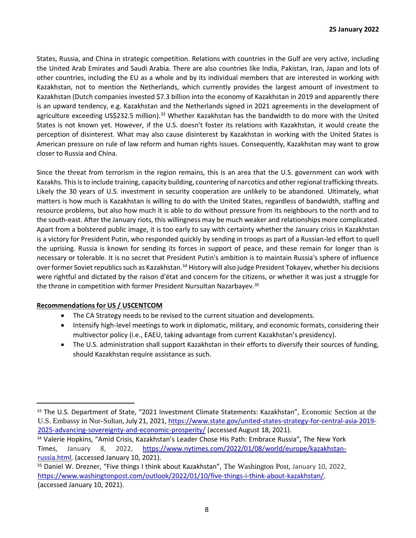States, Russia, and China in strategic competition. Relations with countries in the Gulf are very active, including the United Arab Emirates and Saudi Arabia. There are also countries like India, Pakistan, Iran, Japan and lots of other countries, including the EU as a whole and by its individual members that are interested in working with Kazakhstan, not to mention the Netherlands, which currently provides the largest amount of investment to Kazakhstan (Dutch companies invested \$7.3 billion into the economy of Kazakhstan in 2019 and apparently there is an upward tendency, e.g. Kazakhstan and the Netherlands signed in 2021 agreements in the development of agriculture exceeding US\$232.5 million).<sup>33</sup> Whether Kazakhstan has the bandwidth to do more with the United States is not known yet. However, if the U.S. doesn't foster its relations with Kazakhstan, it would create the perception of disinterest. What may also cause disinterest by Kazakhstan in working with the United States is American pressure on rule of law reform and human rights issues. Consequently, Kazakhstan may want to grow closer to Russia and China.

Since the threat from terrorism in the region remains, this is an area that the U.S. government can work with Kazakhs. This is to include training, capacity building, countering of narcotics and other regional trafficking threats. Likely the 30 years of U.S. investment in security cooperation are unlikely to be abandoned. Ultimately, what matters is how much is Kazakhstan is willing to do with the United States, regardless of bandwidth, staffing and resource problems, but also how much it is able to do without pressure from its neighbours to the north and to the south-east. After the January riots, this willingness may be much weaker and relationships more complicated. Apart from a bolstered public image, it is too early to say with certainty whether the January crisis in Kazakhstan is a victory for President Putin, who responded quickly by sending in troops as part of a Russian-led effort to quell the uprising. Russia is known for sending its forces in support of peace, and these remain for longer than is necessary or tolerable. It is no secret that President Putin's ambition is to maintain Russia's sphere of influence over former Soviet republics such as Kazakhstan.<sup>34</sup> History will also judge President Tokayev, whether his decisions were rightful and dictated by the raison d'état and concern for the citizens, or whether it was just a struggle for the throne in competition with former President Nursultan Nazarbayev.<sup>35</sup>

# **Recommendations for US / USCENTCOM**

- The CA Strategy needs to be revised to the current situation and developments.
- Intensify high-level meetings to work in diplomatic, military, and economic formats, considering their multivector policy (i.e., EAEU, taking advantage from current Kazakhstan's presidency).
- The U.S. administration shall support Kazakhstan in their efforts to diversify their sources of funding, should Kazakhstan require assistance as such.

<sup>&</sup>lt;sup>33</sup> The U.S. Department of State, "2021 Investment Climate Statements: Kazakhstan", Economic Section at the U.S. Embassy in Nur-Sultan, July 21, 2021, https://www.state.gov/united-states-strategy-for-central-asia-2019- 2025-advancing-sovereignty-and-economic-prosperity/ (accessed August 18, 2021).

<sup>34</sup> Valerie Hopkins, "Amid Crisis, Kazakhstan's Leader Chose His Path: Embrace Russia", The New York Times, January 8, 2022, https://www.nytimes.com/2022/01/08/world/europe/kazakhstanrussia.html, (accessed January 10, 2021).

<sup>&</sup>lt;sup>35</sup> Daniel W. Drezner, "Five things I think about Kazakhstan", The Washington Post, January 10, 2022, https://www.washingtonpost.com/outlook/2022/01/10/five-things-i-think-about-kazakhstan/, (accessed January 10, 2021).